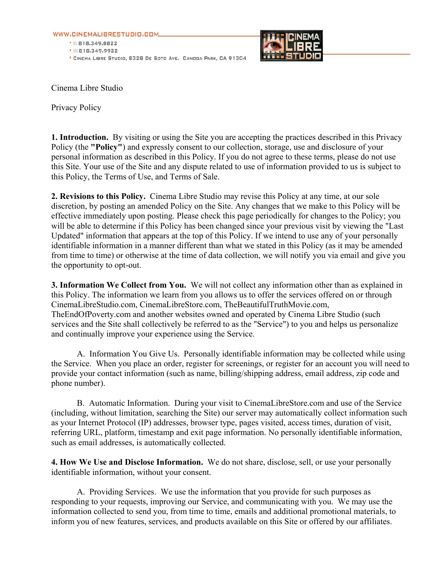WWW.CINEMALIBRESTUDIO.COM





Cinema Libre Studio

Privacy Policy

**1. Introduction.** By visiting or using the Site you are accepting the practices described in this Privacy Policy (the **"Policy"**) and expressly consent to our collection, storage, use and disclosure of your personal information as described in this Policy. If you do not agree to these terms, please do not use this Site. Your use of the Site and any dispute related to use of information provided to us is subject to this Policy, the Terms of Use, and Terms of Sale.

**2. Revisions to this Policy.** Cinema Libre Studio may revise this Policy at any time, at our sole discretion, by posting an amended Policy on the Site. Any changes that we make to this Policy will be effective immediately upon posting. Please check this page periodically for changes to the Policy; you will be able to determine if this Policy has been changed since your previous visit by viewing the "Last Updated" information that appears at the top of this Policy. If we intend to use any of your personally identifiable information in a manner different than what we stated in this Policy (as it may be amended from time to time) or otherwise at the time of data collection, we will notify you via email and give you the opportunity to opt-out.

**3. Information We Collect from You.** We will not collect any information other than as explained in this Policy. The information we learn from you allows us to offer the services offered on or through CinemaLibreStudio.com, CinemaLibreStore.com, TheBeautifulTruthMovie.com, TheEndOfPoverty.com and another websites owned and operated by Cinema Libre Studio (such services and the Site shall collectively be referred to as the "Service") to you and helps us personalize and continually improve your experience using the Service.

 A. Information You Give Us. Personally identifiable information may be collected while using the Service. When you place an order, register for screenings, or register for an account you will need to provide your contact information (such as name, billing/shipping address, email address, zip code and phone number).

B. Automatic Information. During your visit to CinemaLibreStore.com and use of the Service (including, without limitation, searching the Site) our server may automatically collect information such as your Internet Protocol (IP) addresses, browser type, pages visited, access times, duration of visit, referring URL, platform, timestamp and exit page information. No personally identifiable information, such as email addresses, is automatically collected.

**4. How We Use and Disclose Information.** We do not share, disclose, sell, or use your personally identifiable information, without your consent.

 A. Providing Services. We use the information that you provide for such purposes as responding to your requests, improving our Service, and communicating with you. We may use the information collected to send you, from time to time, emails and additional promotional materials, to inform you of new features, services, and products available on this Site or offered by our affiliates.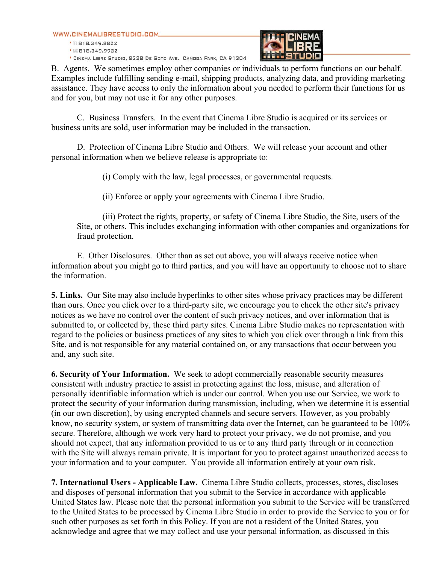WWW.CINEMALIBRESTUDIO.COM

● Ⅲ 818.349.8822 • 服818.349.9922 \* CINEMA LIBRE STUDIO, 8328 DE SOTO AVE. CANOGA PARK, CA 91304



B. Agents. We sometimes employ other companies or individuals to perform functions on our behalf. Examples include fulfilling sending e-mail, shipping products, analyzing data, and providing marketing assistance. They have access to only the information about you needed to perform their functions for us and for you, but may not use it for any other purposes.

C. Business Transfers. In the event that Cinema Libre Studio is acquired or its services or business units are sold, user information may be included in the transaction.

D. Protection of Cinema Libre Studio and Others. We will release your account and other personal information when we believe release is appropriate to:

(i) Comply with the law, legal processes, or governmental requests.

(ii) Enforce or apply your agreements with Cinema Libre Studio.

(iii) Protect the rights, property, or safety of Cinema Libre Studio, the Site, users of the Site, or others. This includes exchanging information with other companies and organizations for fraud protection.

E. Other Disclosures. Other than as set out above, you will always receive notice when information about you might go to third parties, and you will have an opportunity to choose not to share the information.

**5. Links.** Our Site may also include hyperlinks to other sites whose privacy practices may be different than ours. Once you click over to a third-party site, we encourage you to check the other site's privacy notices as we have no control over the content of such privacy notices, and over information that is submitted to, or collected by, these third party sites. Cinema Libre Studio makes no representation with regard to the policies or business practices of any sites to which you click over through a link from this Site, and is not responsible for any material contained on, or any transactions that occur between you and, any such site.

**6. Security of Your Information.** We seek to adopt commercially reasonable security measures consistent with industry practice to assist in protecting against the loss, misuse, and alteration of personally identifiable information which is under our control. When you use our Service, we work to protect the security of your information during transmission, including, when we determine it is essential (in our own discretion), by using encrypted channels and secure servers. However, as you probably know, no security system, or system of transmitting data over the Internet, can be guaranteed to be 100% secure. Therefore, although we work very hard to protect your privacy, we do not promise, and you should not expect, that any information provided to us or to any third party through or in connection with the Site will always remain private. It is important for you to protect against unauthorized access to your information and to your computer. You provide all information entirely at your own risk.

**7. International Users - Applicable Law.** Cinema Libre Studio collects, processes, stores, discloses and disposes of personal information that you submit to the Service in accordance with applicable United States law. Please note that the personal information you submit to the Service will be transferred to the United States to be processed by Cinema Libre Studio in order to provide the Service to you or for such other purposes as set forth in this Policy. If you are not a resident of the United States, you acknowledge and agree that we may collect and use your personal information, as discussed in this